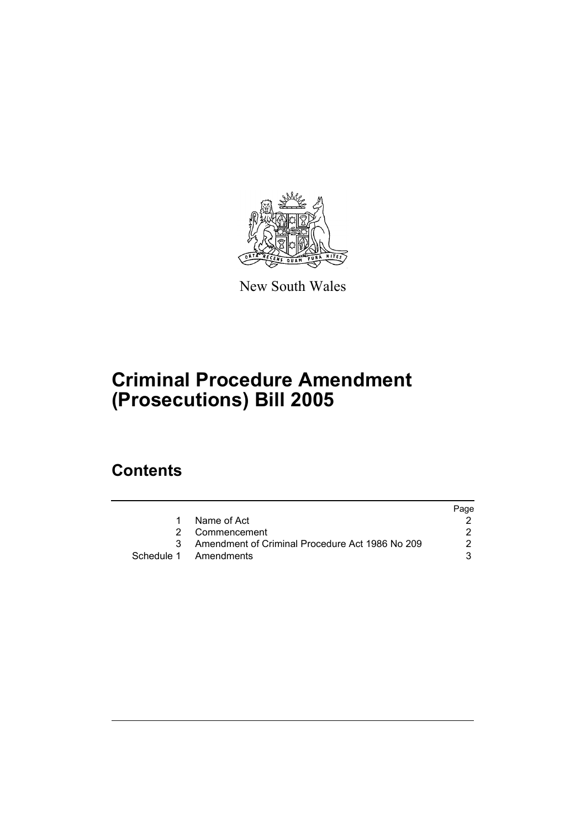

New South Wales

# **Criminal Procedure Amendment (Prosecutions) Bill 2005**

## **Contents**

|                                                   | Page |
|---------------------------------------------------|------|
| 1 Name of Act                                     |      |
| 2 Commencement                                    |      |
| 3 Amendment of Criminal Procedure Act 1986 No 209 | 2    |
| Schedule 1 Amendments                             |      |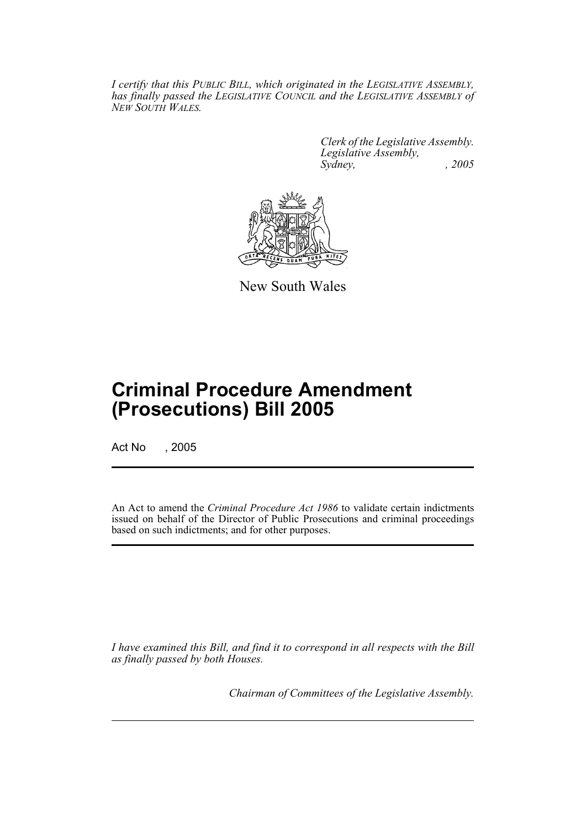*I certify that this PUBLIC BILL, which originated in the LEGISLATIVE ASSEMBLY, has finally passed the LEGISLATIVE COUNCIL and the LEGISLATIVE ASSEMBLY of NEW SOUTH WALES.*

> *Clerk of the Legislative Assembly. Legislative Assembly, Sydney, , 2005*



New South Wales

## **Criminal Procedure Amendment (Prosecutions) Bill 2005**

Act No , 2005

An Act to amend the *Criminal Procedure Act 1986* to validate certain indictments issued on behalf of the Director of Public Prosecutions and criminal proceedings based on such indictments; and for other purposes.

*I have examined this Bill, and find it to correspond in all respects with the Bill as finally passed by both Houses.*

*Chairman of Committees of the Legislative Assembly.*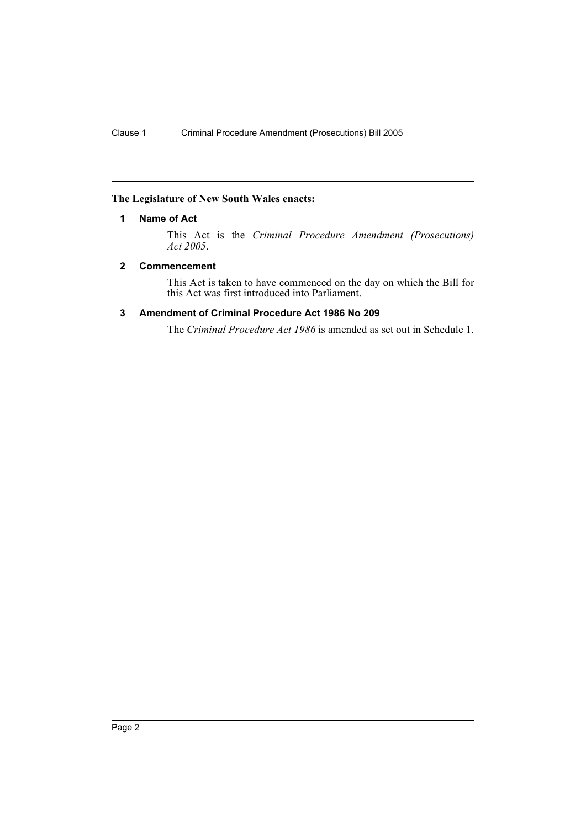## **The Legislature of New South Wales enacts:**

### **1 Name of Act**

This Act is the *Criminal Procedure Amendment (Prosecutions) Act 2005*.

## **2 Commencement**

This Act is taken to have commenced on the day on which the Bill for this Act was first introduced into Parliament.

## **3 Amendment of Criminal Procedure Act 1986 No 209**

The *Criminal Procedure Act 1986* is amended as set out in Schedule 1.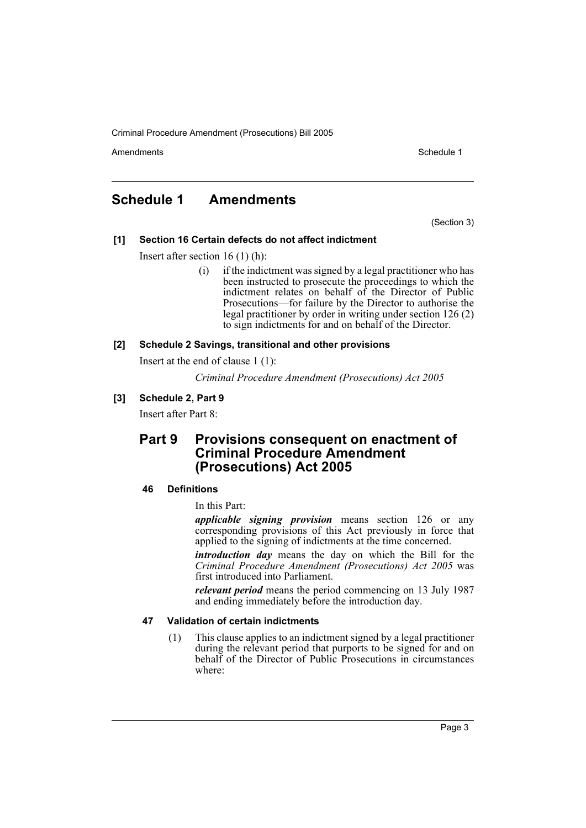Criminal Procedure Amendment (Prosecutions) Bill 2005

Amendments **Amendments** Schedule 1

## **Schedule 1 Amendments**

(Section 3)

## **[1] Section 16 Certain defects do not affect indictment**

Insert after section 16 (1) (h):

(i) if the indictment was signed by a legal practitioner who has been instructed to prosecute the proceedings to which the indictment relates on behalf of the Director of Public Prosecutions—for failure by the Director to authorise the legal practitioner by order in writing under section 126 (2) to sign indictments for and on behalf of the Director.

#### **[2] Schedule 2 Savings, transitional and other provisions**

Insert at the end of clause 1 (1):

*Criminal Procedure Amendment (Prosecutions) Act 2005*

## **[3] Schedule 2, Part 9**

Insert after Part 8:

## **Part 9 Provisions consequent on enactment of Criminal Procedure Amendment (Prosecutions) Act 2005**

## **46 Definitions**

In this Part:

*applicable signing provision* means section 126 or any corresponding provisions of this Act previously in force that applied to the signing of indictments at the time concerned.

*introduction day* means the day on which the Bill for the *Criminal Procedure Amendment (Prosecutions) Act 2005* was first introduced into Parliament.

*relevant period* means the period commencing on 13 July 1987 and ending immediately before the introduction day.

#### **47 Validation of certain indictments**

(1) This clause applies to an indictment signed by a legal practitioner during the relevant period that purports to be signed for and on behalf of the Director of Public Prosecutions in circumstances where: